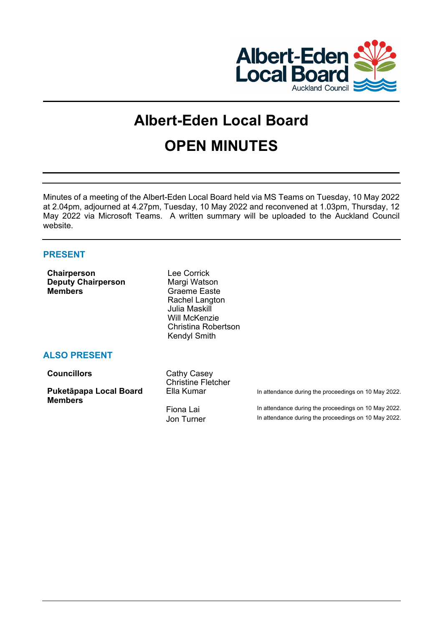

# **Albert-Eden Local Board OPEN MINUTES**

Minutes of a meeting of the Albert-Eden Local Board held via MS Teams on Tuesday, 10 May 2022 at 2.04pm, adjourned at 4.27pm, Tuesday, 10 May 2022 and reconvened at 1.03pm, Thursday, 12 May 2022 via Microsoft Teams. A written summary will be uploaded to the Auckland Council website.

## **PRESENT**

| <b>Chairperson</b><br><b>Deputy Chairperson</b><br><b>Members</b> | Lee Corrick<br>Margi Watson<br>Graeme Easte<br>Rachel Langton<br>Julia Maskill<br>Will McKenzie<br>Christina Robertson<br>Kendyl Smith |                                                                                                              |
|-------------------------------------------------------------------|----------------------------------------------------------------------------------------------------------------------------------------|--------------------------------------------------------------------------------------------------------------|
| <b>ALSO PRESENT</b>                                               |                                                                                                                                        |                                                                                                              |
| <b>Councillors</b>                                                | Cathy Casey<br><b>Christine Fletcher</b>                                                                                               |                                                                                                              |
| Puketāpapa Local Board<br><b>Members</b>                          | Ella Kumar                                                                                                                             | In attendance during the proceedings on 10 May 2022.                                                         |
|                                                                   | Fiona Lai<br>Jon Turner                                                                                                                | In attendance during the proceedings on 10 May 2022.<br>In attendance during the proceedings on 10 May 2022. |
|                                                                   |                                                                                                                                        |                                                                                                              |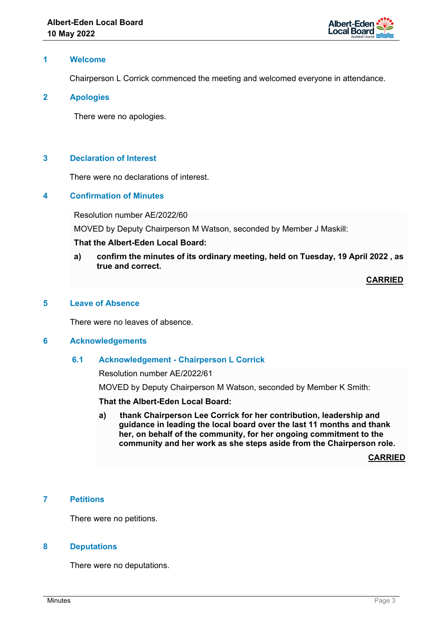

## **1 Welcome**

Chairperson L Corrick commenced the meeting and welcomed everyone in attendance.

## **2 Apologies**

There were no apologies.

## **3 Declaration of Interest**

There were no declarations of interest.

## **4 Confirmation of Minutes**

Resolution number AE/2022/60

MOVED by Deputy Chairperson M Watson, seconded by Member J Maskill:

## **That the Albert-Eden Local Board:**

**a) confirm the minutes of its ordinary meeting, held on Tuesday, 19 April 2022 , as true and correct.**

**CARRIED**

## **5 Leave of Absence**

There were no leaves of absence.

#### **6 Acknowledgements**

## **6.1 Acknowledgement - Chairperson L Corrick**

Resolution number AE/2022/61

MOVED by Deputy Chairperson M Watson, seconded by Member K Smith:

**That the Albert-Eden Local Board:** 

**a) thank Chairperson Lee Corrick for her contribution, leadership and guidance in leading the local board over the last 11 months and thank her, on behalf of the community, for her ongoing commitment to the community and her work as she steps aside from the Chairperson role.**

**CARRIED**

#### **7 Petitions**

There were no petitions.

## **8 Deputations**

There were no deputations.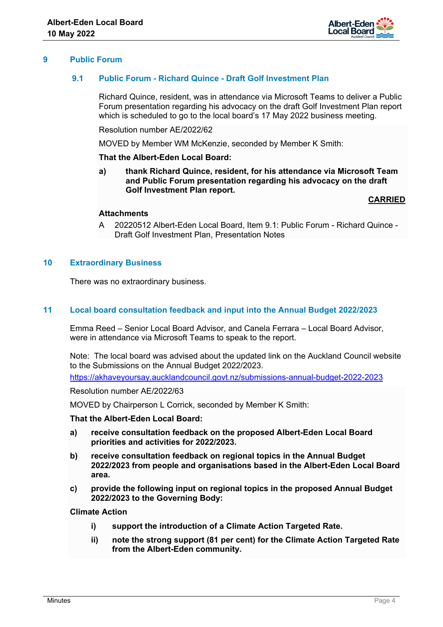

## **9 Public Forum**

## **9.1 Public Forum - Richard Quince - Draft Golf Investment Plan**

Richard Quince, resident, was in attendance via Microsoft Teams to deliver a Public Forum presentation regarding his advocacy on the draft Golf Investment Plan report which is scheduled to go to the local board's 17 May 2022 business meeting.

Resolution number AE/2022/62

MOVED by Member WM McKenzie, seconded by Member K Smith:

**That the Albert-Eden Local Board:** 

**a) thank Richard Quince, resident, for his attendance via Microsoft Team and Public Forum presentation regarding his advocacy on the draft Golf Investment Plan report.**

**CARRIED**

#### **Attachments**

A 20220512 Albert-Eden Local Board, Item 9.1: Public Forum - Richard Quince - Draft Golf Investment Plan, Presentation Notes

## **10 Extraordinary Business**

There was no extraordinary business.

#### **11 Local board consultation feedback and input into the Annual Budget 2022/2023**

Emma Reed – Senior Local Board Advisor, and Canela Ferrara – Local Board Advisor, were in attendance via Microsoft Teams to speak to the report.

Note: The local board was advised about the updated link on the Auckland Council website to the Submissions on the Annual Budget 2022/2023.

<https://akhaveyoursay.aucklandcouncil.govt.nz/submissions-annual-budget-2022-2023>

Resolution number AE/2022/63

MOVED by Chairperson L Corrick, seconded by Member K Smith:

**That the Albert-Eden Local Board:** 

- **a) receive consultation feedback on the proposed Albert-Eden Local Board priorities and activities for 2022/2023.**
- **b) receive consultation feedback on regional topics in the Annual Budget 2022/2023 from people and organisations based in the Albert-Eden Local Board area.**
- **c) provide the following input on regional topics in the proposed Annual Budget 2022/2023 to the Governing Body:**

**Climate Action** 

- **i) support the introduction of a Climate Action Targeted Rate.**
- **ii) note the strong support (81 per cent) for the Climate Action Targeted Rate from the Albert-Eden community.**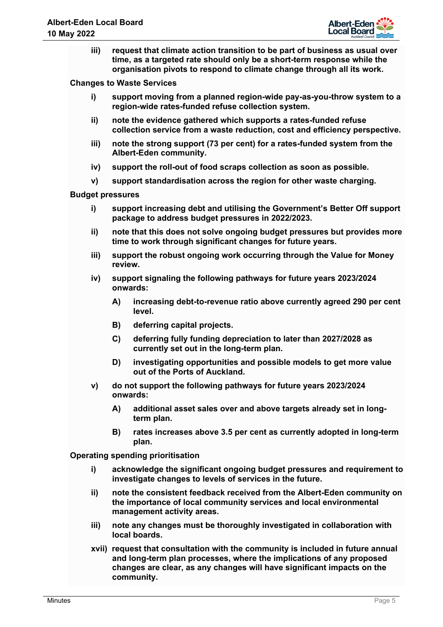

**iii) request that climate action transition to be part of business as usual over time, as a targeted rate should only be a short-term response while the organisation pivots to respond to climate change through all its work.** 

**Changes to Waste Services** 

- **i) support moving from a planned region-wide pay-as-you-throw system to a region-wide rates-funded refuse collection system.**
- **ii) note the evidence gathered which supports a rates-funded refuse collection service from a waste reduction, cost and efficiency perspective.**
- **iii) note the strong support (73 per cent) for a rates-funded system from the Albert-Eden community.**
- **iv) support the roll-out of food scraps collection as soon as possible.**
- **v) support standardisation across the region for other waste charging.**

**Budget pressures** 

- **i) support increasing debt and utilising the Government's Better Off support package to address budget pressures in 2022/2023.**
- **ii) note that this does not solve ongoing budget pressures but provides more time to work through significant changes for future years.**
- **iii) support the robust ongoing work occurring through the Value for Money review.**
- **iv) support signaling the following pathways for future years 2023/2024 onwards:** 
	- **A) increasing debt-to-revenue ratio above currently agreed 290 per cent level.**
	- **B) deferring capital projects.**
	- **C) deferring fully funding depreciation to later than 2027/2028 as currently set out in the long-term plan.**
	- **D) investigating opportunities and possible models to get more value out of the Ports of Auckland.**
- **v) do not support the following pathways for future years 2023/2024 onwards:** 
	- **A) additional asset sales over and above targets already set in longterm plan.**
	- **B) rates increases above 3.5 per cent as currently adopted in long-term plan.**

**Operating spending prioritisation** 

- **i) acknowledge the significant ongoing budget pressures and requirement to investigate changes to levels of services in the future.**
- **ii) note the consistent feedback received from the Albert-Eden community on the importance of local community services and local environmental management activity areas.**
- **iii) note any changes must be thoroughly investigated in collaboration with local boards.**
- **xvii) request that consultation with the community is included in future annual and long-term plan processes, where the implications of any proposed changes are clear, as any changes will have significant impacts on the community.**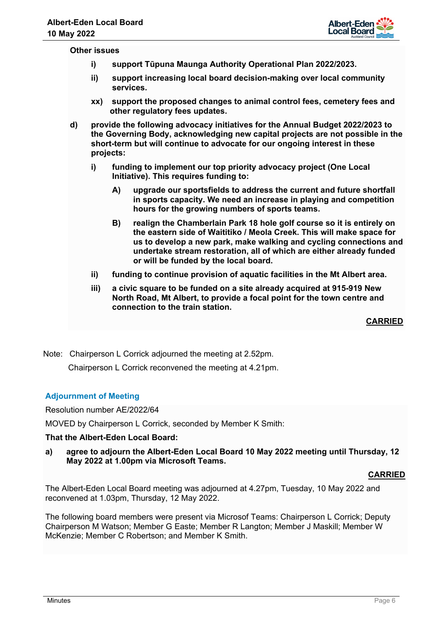

#### **Other issues**

- **i) support Tūpuna Maunga Authority Operational Plan 2022/2023.**
- **ii) support increasing local board decision-making over local community services.**
- **xx) support the proposed changes to animal control fees, cemetery fees and other regulatory fees updates.**
- **d) provide the following advocacy initiatives for the Annual Budget 2022/2023 to the Governing Body, acknowledging new capital projects are not possible in the short-term but will continue to advocate for our ongoing interest in these projects:** 
	- **i) funding to implement our top priority advocacy project (One Local Initiative). This requires funding to:** 
		- **A) upgrade our sportsfields to address the current and future shortfall in sports capacity. We need an increase in playing and competition hours for the growing numbers of sports teams.**
		- **B) realign the Chamberlain Park 18 hole golf course so it is entirely on the eastern side of Waititiko / Meola Creek. This will make space for us to develop a new park, make walking and cycling connections and undertake stream restoration, all of which are either already funded or will be funded by the local board.**
	- **ii) funding to continue provision of aquatic facilities in the Mt Albert area.**
	- **iii) a civic square to be funded on a site already acquired at 915-919 New North Road, Mt Albert, to provide a focal point for the town centre and connection to the train station.**

**CARRIED**

Note: Chairperson L Corrick adjourned the meeting at 2.52pm. Chairperson L Corrick reconvened the meeting at 4.21pm.

# **Adjournment of Meeting**

Resolution number AE/2022/64

MOVED by Chairperson L Corrick, seconded by Member K Smith:

## **That the Albert-Eden Local Board:**

**a) agree to adjourn the Albert-Eden Local Board 10 May 2022 meeting until Thursday, 12 May 2022 at 1.00pm via Microsoft Teams.**

#### **CARRIED**

The Albert-Eden Local Board meeting was adjourned at 4.27pm, Tuesday, 10 May 2022 and reconvened at 1.03pm, Thursday, 12 May 2022.

The following board members were present via Microsof Teams: Chairperson L Corrick; Deputy Chairperson M Watson; Member G Easte; Member R Langton; Member J Maskill; Member W McKenzie; Member C Robertson; and Member K Smith.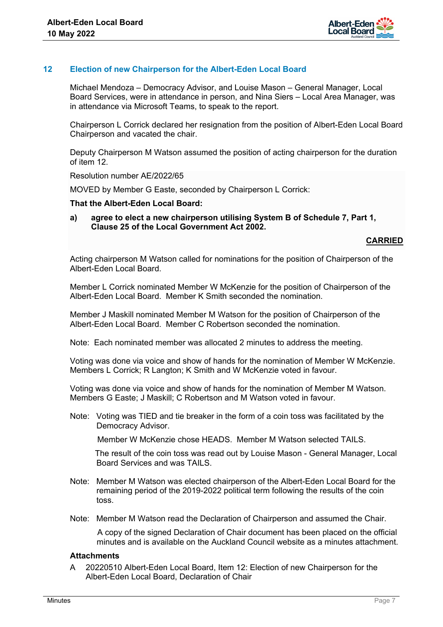

## **12 Election of new Chairperson for the Albert-Eden Local Board**

Michael Mendoza – Democracy Advisor, and Louise Mason – General Manager, Local Board Services, were in attendance in person, and Nina Siers – Local Area Manager, was in attendance via Microsoft Teams, to speak to the report.

Chairperson L Corrick declared her resignation from the position of Albert-Eden Local Board Chairperson and vacated the chair.

Deputy Chairperson M Watson assumed the position of acting chairperson for the duration of item 12.

Resolution number AE/2022/65

MOVED by Member G Easte, seconded by Chairperson L Corrick:

#### **That the Albert-Eden Local Board:**

**a) agree to elect a new chairperson utilising System B of Schedule 7, Part 1, Clause 25 of the Local Government Act 2002.**

#### **CARRIED**

Acting chairperson M Watson called for nominations for the position of Chairperson of the Albert-Eden Local Board.

Member L Corrick nominated Member W McKenzie for the position of Chairperson of the Albert-Eden Local Board. Member K Smith seconded the nomination.

Member J Maskill nominated Member M Watson for the position of Chairperson of the Albert-Eden Local Board. Member C Robertson seconded the nomination.

Note: Each nominated member was allocated 2 minutes to address the meeting.

Voting was done via voice and show of hands for the nomination of Member W McKenzie. Members L Corrick; R Langton; K Smith and W McKenzie voted in favour.

Voting was done via voice and show of hands for the nomination of Member M Watson. Members G Easte; J Maskill; C Robertson and M Watson voted in favour.

Note: Voting was TIED and tie breaker in the form of a coin toss was facilitated by the Democracy Advisor.

Member W McKenzie chose HEADS. Member M Watson selected TAILS.

 The result of the coin toss was read out by Louise Mason - General Manager, Local Board Services and was TAILS.

- Note: Member M Watson was elected chairperson of the Albert-Eden Local Board for the remaining period of the 2019-2022 political term following the results of the coin toss.
- Note: Member M Watson read the Declaration of Chairperson and assumed the Chair.

 A copy of the signed Declaration of Chair document has been placed on the official minutes and is available on the Auckland Council website as a minutes attachment.

#### **Attachments**

A 20220510 Albert-Eden Local Board, Item 12: Election of new Chairperson for the Albert-Eden Local Board, Declaration of Chair